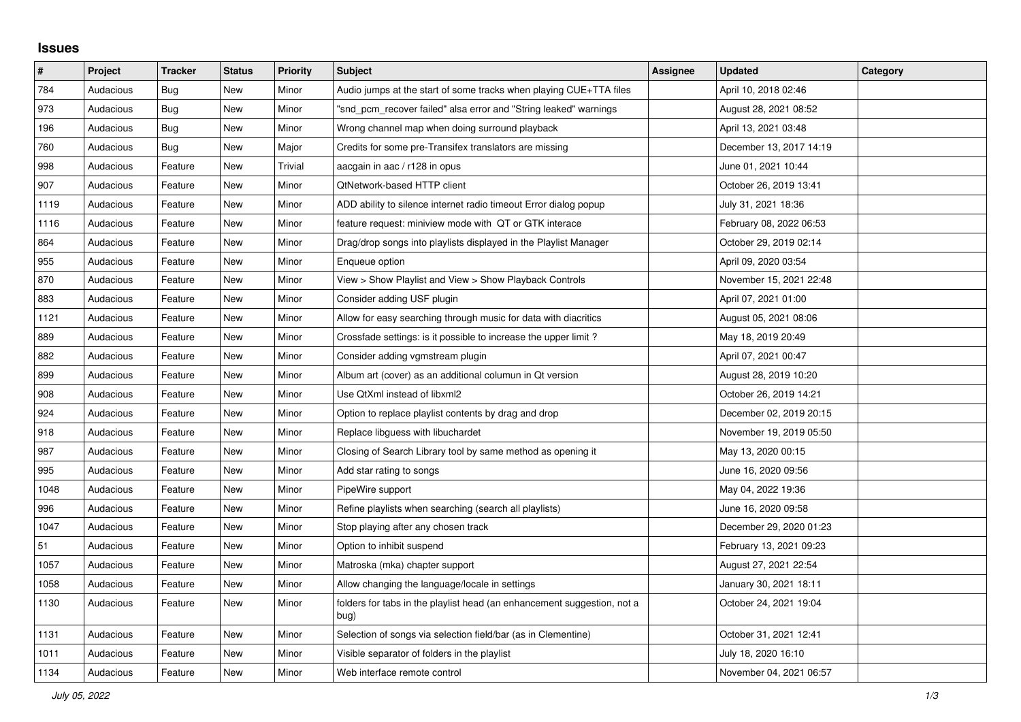## **Issues**

| #    | Project   | <b>Tracker</b> | <b>Status</b> | <b>Priority</b> | <b>Subject</b>                                                                  | Assignee | <b>Updated</b>          | Category |
|------|-----------|----------------|---------------|-----------------|---------------------------------------------------------------------------------|----------|-------------------------|----------|
| 784  | Audacious | Bug            | New           | Minor           | Audio jumps at the start of some tracks when playing CUE+TTA files              |          | April 10, 2018 02:46    |          |
| 973  | Audacious | Bug            | New           | Minor           | "snd pcm recover failed" alsa error and "String leaked" warnings                |          | August 28, 2021 08:52   |          |
| 196  | Audacious | Bug            | New           | Minor           | Wrong channel map when doing surround playback                                  |          | April 13, 2021 03:48    |          |
| 760  | Audacious | Bug            | New           | Major           | Credits for some pre-Transifex translators are missing                          |          | December 13, 2017 14:19 |          |
| 998  | Audacious | Feature        | New           | Trivial         | aacgain in aac / r128 in opus                                                   |          | June 01, 2021 10:44     |          |
| 907  | Audacious | Feature        | New           | Minor           | QtNetwork-based HTTP client                                                     |          | October 26, 2019 13:41  |          |
| 1119 | Audacious | Feature        | New           | Minor           | ADD ability to silence internet radio timeout Error dialog popup                |          | July 31, 2021 18:36     |          |
| 1116 | Audacious | Feature        | New           | Minor           | feature request: miniview mode with QT or GTK interace                          |          | February 08, 2022 06:53 |          |
| 864  | Audacious | Feature        | New           | Minor           | Drag/drop songs into playlists displayed in the Playlist Manager                |          | October 29, 2019 02:14  |          |
| 955  | Audacious | Feature        | New           | Minor           | Enqueue option                                                                  |          | April 09, 2020 03:54    |          |
| 870  | Audacious | Feature        | New           | Minor           | View > Show Playlist and View > Show Playback Controls                          |          | November 15, 2021 22:48 |          |
| 883  | Audacious | Feature        | <b>New</b>    | Minor           | Consider adding USF plugin                                                      |          | April 07, 2021 01:00    |          |
| 1121 | Audacious | Feature        | New           | Minor           | Allow for easy searching through music for data with diacritics                 |          | August 05, 2021 08:06   |          |
| 889  | Audacious | Feature        | New           | Minor           | Crossfade settings: is it possible to increase the upper limit?                 |          | May 18, 2019 20:49      |          |
| 882  | Audacious | Feature        | New           | Minor           | Consider adding vgmstream plugin                                                |          | April 07, 2021 00:47    |          |
| 899  | Audacious | Feature        | New           | Minor           | Album art (cover) as an additional columun in Qt version                        |          | August 28, 2019 10:20   |          |
| 908  | Audacious | Feature        | New           | Minor           | Use QtXml instead of libxml2                                                    |          | October 26, 2019 14:21  |          |
| 924  | Audacious | Feature        | New           | Minor           | Option to replace playlist contents by drag and drop                            |          | December 02, 2019 20:15 |          |
| 918  | Audacious | Feature        | New           | Minor           | Replace libguess with libuchardet                                               |          | November 19, 2019 05:50 |          |
| 987  | Audacious | Feature        | New           | Minor           | Closing of Search Library tool by same method as opening it                     |          | May 13, 2020 00:15      |          |
| 995  | Audacious | Feature        | New           | Minor           | Add star rating to songs                                                        |          | June 16, 2020 09:56     |          |
| 1048 | Audacious | Feature        | <b>New</b>    | Minor           | PipeWire support                                                                |          | May 04, 2022 19:36      |          |
| 996  | Audacious | Feature        | New           | Minor           | Refine playlists when searching (search all playlists)                          |          | June 16, 2020 09:58     |          |
| 1047 | Audacious | Feature        | New           | Minor           | Stop playing after any chosen track                                             |          | December 29, 2020 01:23 |          |
| 51   | Audacious | Feature        | New           | Minor           | Option to inhibit suspend                                                       |          | February 13, 2021 09:23 |          |
| 1057 | Audacious | Feature        | New           | Minor           | Matroska (mka) chapter support                                                  |          | August 27, 2021 22:54   |          |
| 1058 | Audacious | Feature        | New           | Minor           | Allow changing the language/locale in settings                                  |          | January 30, 2021 18:11  |          |
| 1130 | Audacious | Feature        | New           | Minor           | folders for tabs in the playlist head (an enhancement suggestion, not a<br>bug) |          | October 24, 2021 19:04  |          |
| 1131 | Audacious | Feature        | New           | Minor           | Selection of songs via selection field/bar (as in Clementine)                   |          | October 31, 2021 12:41  |          |
| 1011 | Audacious | Feature        | New           | Minor           | Visible separator of folders in the playlist                                    |          | July 18, 2020 16:10     |          |
| 1134 | Audacious | Feature        | New           | Minor           | Web interface remote control                                                    |          | November 04, 2021 06:57 |          |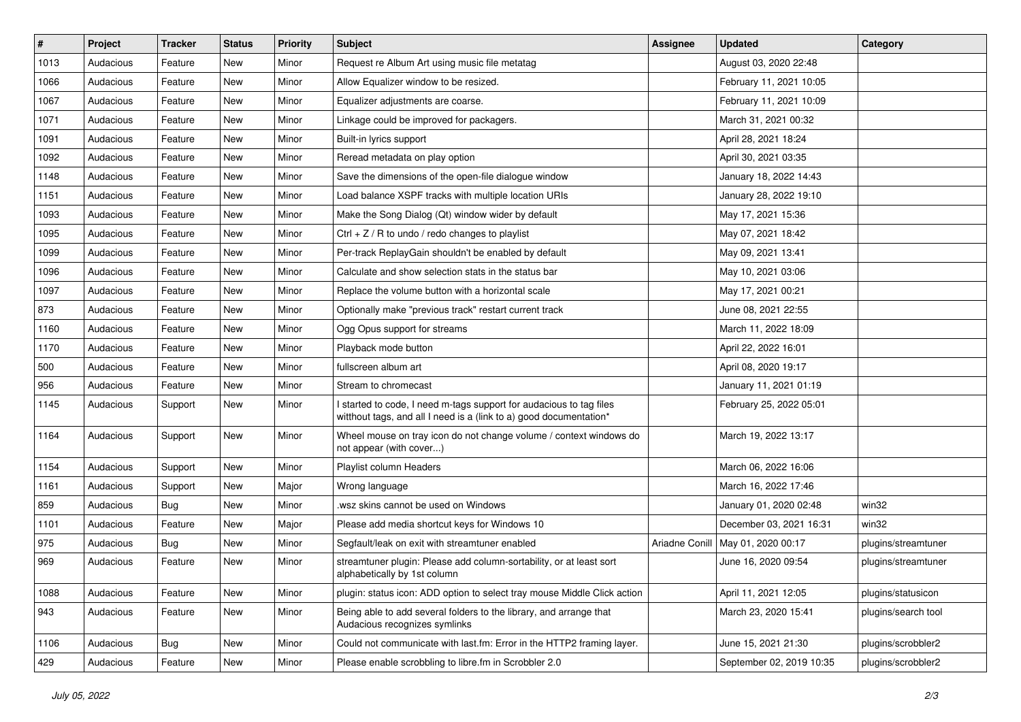| $\#$ | Project   | <b>Tracker</b> | <b>Status</b> | <b>Priority</b> | <b>Subject</b>                                                                                                                            | <b>Assignee</b> | <b>Updated</b>                      | Category            |
|------|-----------|----------------|---------------|-----------------|-------------------------------------------------------------------------------------------------------------------------------------------|-----------------|-------------------------------------|---------------------|
| 1013 | Audacious | Feature        | New           | Minor           | Request re Album Art using music file metatag                                                                                             |                 | August 03, 2020 22:48               |                     |
| 1066 | Audacious | Feature        | New           | Minor           | Allow Equalizer window to be resized.                                                                                                     |                 | February 11, 2021 10:05             |                     |
| 1067 | Audacious | Feature        | New           | Minor           | Equalizer adjustments are coarse.                                                                                                         |                 | February 11, 2021 10:09             |                     |
| 1071 | Audacious | Feature        | New           | Minor           | Linkage could be improved for packagers.                                                                                                  |                 | March 31, 2021 00:32                |                     |
| 1091 | Audacious | Feature        | New           | Minor           | Built-in lyrics support                                                                                                                   |                 | April 28, 2021 18:24                |                     |
| 1092 | Audacious | Feature        | New           | Minor           | Reread metadata on play option                                                                                                            |                 | April 30, 2021 03:35                |                     |
| 1148 | Audacious | Feature        | New           | Minor           | Save the dimensions of the open-file dialogue window                                                                                      |                 | January 18, 2022 14:43              |                     |
| 1151 | Audacious | Feature        | New           | Minor           | Load balance XSPF tracks with multiple location URIs                                                                                      |                 | January 28, 2022 19:10              |                     |
| 1093 | Audacious | Feature        | New           | Minor           | Make the Song Dialog (Qt) window wider by default                                                                                         |                 | May 17, 2021 15:36                  |                     |
| 1095 | Audacious | Feature        | New           | Minor           | Ctrl + $Z$ / R to undo / redo changes to playlist                                                                                         |                 | May 07, 2021 18:42                  |                     |
| 1099 | Audacious | Feature        | New           | Minor           | Per-track ReplayGain shouldn't be enabled by default                                                                                      |                 | May 09, 2021 13:41                  |                     |
| 1096 | Audacious | Feature        | New           | Minor           | Calculate and show selection stats in the status bar                                                                                      |                 | May 10, 2021 03:06                  |                     |
| 1097 | Audacious | Feature        | New           | Minor           | Replace the volume button with a horizontal scale                                                                                         |                 | May 17, 2021 00:21                  |                     |
| 873  | Audacious | Feature        | New           | Minor           | Optionally make "previous track" restart current track                                                                                    |                 | June 08, 2021 22:55                 |                     |
| 1160 | Audacious | Feature        | New           | Minor           | Ogg Opus support for streams                                                                                                              |                 | March 11, 2022 18:09                |                     |
| 1170 | Audacious | Feature        | New           | Minor           | Playback mode button                                                                                                                      |                 | April 22, 2022 16:01                |                     |
| 500  | Audacious | Feature        | New           | Minor           | fullscreen album art                                                                                                                      |                 | April 08, 2020 19:17                |                     |
| 956  | Audacious | Feature        | New           | Minor           | Stream to chromecast                                                                                                                      |                 | January 11, 2021 01:19              |                     |
| 1145 | Audacious | Support        | New           | Minor           | I started to code, I need m-tags support for audacious to tag files<br>witthout tags, and all I need is a (link to a) good documentation* |                 | February 25, 2022 05:01             |                     |
| 1164 | Audacious | Support        | New           | Minor           | Wheel mouse on tray icon do not change volume / context windows do<br>not appear (with cover)                                             |                 | March 19, 2022 13:17                |                     |
| 1154 | Audacious | Support        | New           | Minor           | Playlist column Headers                                                                                                                   |                 | March 06, 2022 16:06                |                     |
| 1161 | Audacious | Support        | New           | Major           | Wrong language                                                                                                                            |                 | March 16, 2022 17:46                |                     |
| 859  | Audacious | <b>Bug</b>     | New           | Minor           | wsz skins cannot be used on Windows.                                                                                                      |                 | January 01, 2020 02:48              | win32               |
| 1101 | Audacious | Feature        | New           | Major           | Please add media shortcut keys for Windows 10                                                                                             |                 | December 03, 2021 16:31             | win32               |
| 975  | Audacious | Bug            | New           | Minor           | Segfault/leak on exit with streamtuner enabled                                                                                            |                 | Ariadne Conill   May 01, 2020 00:17 | plugins/streamtuner |
| 969  | Audacious | Feature        | <b>New</b>    | Minor           | streamtuner plugin: Please add column-sortability, or at least sort<br>alphabetically by 1st column                                       |                 | June 16, 2020 09:54                 | plugins/streamtuner |
| 1088 | Audacious | Feature        | New           | Minor           | plugin: status icon: ADD option to select tray mouse Middle Click action                                                                  |                 | April 11, 2021 12:05                | plugins/statusicon  |
| 943  | Audacious | Feature        | New           | Minor           | Being able to add several folders to the library, and arrange that<br>Audacious recognizes symlinks                                       |                 | March 23, 2020 15:41                | plugins/search tool |
| 1106 | Audacious | <b>Bug</b>     | New           | Minor           | Could not communicate with last.fm: Error in the HTTP2 framing layer.                                                                     |                 | June 15, 2021 21:30                 | plugins/scrobbler2  |
| 429  | Audacious | Feature        | New           | Minor           | Please enable scrobbling to libre.fm in Scrobbler 2.0                                                                                     |                 | September 02, 2019 10:35            | plugins/scrobbler2  |